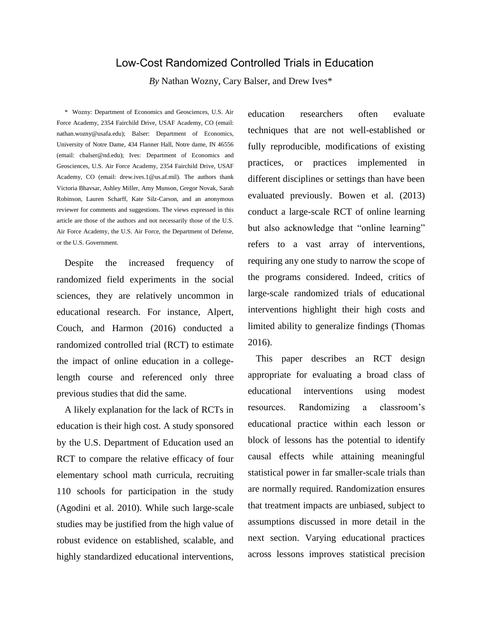# Low-Cost Randomized Controlled Trials in Education

*By* Nathan Wozny, Cary Balser, and Drew Ives\*

\* Wozny: Department of Economics and Geosciences, U.S. Air Force Academy, 2354 Fairchild Drive, USAF Academy, CO (email: nathan.wozny@usafa.edu); Balser: Department of Economics, University of Notre Dame, 434 Flanner Hall, Notre dame, IN 46556 (email: cbalser@nd.edu); Ives: Department of Economics and Geosciences, U.S. Air Force Academy, 2354 Fairchild Drive, USAF Academy, CO (email: drew.ives.1@us.af.mil). The authors thank Victoria Bhavsar, Ashley Miller, Amy Munson, Gregor Novak, Sarah Robinson, Lauren Scharff, Kate Silz-Carson, and an anonymous reviewer for comments and suggestions. The views expressed in this article are those of the authors and not necessarily those of the U.S. Air Force Academy, the U.S. Air Force, the Department of Defense, or the U.S. Government.

Despite the increased frequency of randomized field experiments in the social sciences, they are relatively uncommon in educational research. For instance, Alpert, Couch, and Harmon (2016) conducted a randomized controlled trial (RCT) to estimate the impact of online education in a collegelength course and referenced only three previous studies that did the same.

A likely explanation for the lack of RCTs in education is their high cost. A study sponsored by the U.S. Department of Education used an RCT to compare the relative efficacy of four elementary school math curricula, recruiting 110 schools for participation in the study (Agodini et al. 2010). While such large-scale studies may be justified from the high value of robust evidence on established, scalable, and highly standardized educational interventions, education researchers often evaluate techniques that are not well-established or fully reproducible, modifications of existing practices, or practices implemented in different disciplines or settings than have been evaluated previously. Bowen et al. (2013) conduct a large-scale RCT of online learning but also acknowledge that "online learning" refers to a vast array of interventions, requiring any one study to narrow the scope of the programs considered. Indeed, critics of large-scale randomized trials of educational interventions highlight their high costs and limited ability to generalize findings (Thomas 2016).

This paper describes an RCT design appropriate for evaluating a broad class of educational interventions using modest resources. Randomizing a classroom's educational practice within each lesson or block of lessons has the potential to identify causal effects while attaining meaningful statistical power in far smaller-scale trials than are normally required. Randomization ensures that treatment impacts are unbiased, subject to assumptions discussed in more detail in the next section. Varying educational practices across lessons improves statistical precision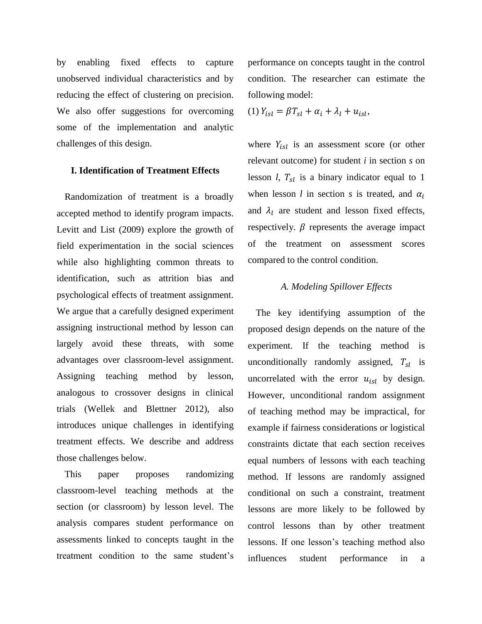by enabling fixed effects to capture unobserved individual characteristics and by reducing the effect of clustering on precision. We also offer suggestions for overcoming some of the implementation and analytic challenges of this design.

## **I. Identification of Treatment Effects**

Randomization of treatment is a broadly accepted method to identify program impacts. Levitt and List (2009) explore the growth of field experimentation in the social sciences while also highlighting common threats to identification, such as attrition bias and psychological effects of treatment assignment. We argue that a carefully designed experiment assigning instructional method by lesson can largely avoid these threats, with some advantages over classroom-level assignment. Assigning teaching method by lesson, analogous to crossover designs in clinical trials (Wellek and Blettner 2012), also introduces unique challenges in identifying treatment effects. We describe and address those challenges below.

This paper proposes randomizing classroom-level teaching methods at the section (or classroom) by lesson level. The analysis compares student performance on assessments linked to concepts taught in the treatment condition to the same student's performance on concepts taught in the control condition. The researcher can estimate the following model:

$$
(1) Y_{isl} = \beta T_{sl} + \alpha_i + \lambda_l + u_{isl},
$$

where  $Y_{isl}$  is an assessment score (or other relevant outcome) for student *i* in section *s* on lesson *l*,  $T_{sl}$  is a binary indicator equal to 1 when lesson *l* in section *s* is treated, and  $\alpha_i$ and  $\lambda_l$  are student and lesson fixed effects, respectively.  $\beta$  represents the average impact of the treatment on assessment scores compared to the control condition.

# *A. Modeling Spillover Effects*

The key identifying assumption of the proposed design depends on the nature of the experiment. If the teaching method is unconditionally randomly assigned,  $T_{sl}$  is uncorrelated with the error  $u_{isl}$  by design. However, unconditional random assignment of teaching method may be impractical, for example if fairness considerations or logistical constraints dictate that each section receives equal numbers of lessons with each teaching method. If lessons are randomly assigned conditional on such a constraint, treatment lessons are more likely to be followed by control lessons than by other treatment lessons. If one lesson's teaching method also influences student performance in a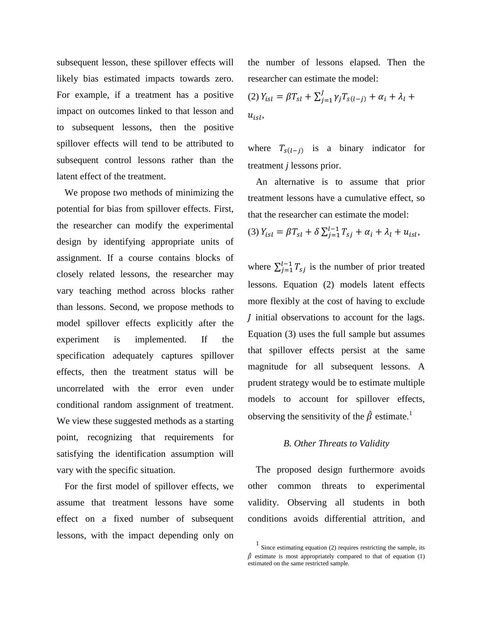subsequent lesson, these spillover effects will likely bias estimated impacts towards zero. For example, if a treatment has a positive impact on outcomes linked to that lesson and to subsequent lessons, then the positive spillover effects will tend to be attributed to subsequent control lessons rather than the latent effect of the treatment.

We propose two methods of minimizing the potential for bias from spillover effects. First, the researcher can modify the experimental design by identifying appropriate units of assignment. If a course contains blocks of closely related lessons, the researcher may vary teaching method across blocks rather than lessons. Second, we propose methods to model spillover effects explicitly after the experiment is implemented. If the specification adequately captures spillover effects, then the treatment status will be uncorrelated with the error even under conditional random assignment of treatment. We view these suggested methods as a starting point, recognizing that requirements for satisfying the identification assumption will vary with the specific situation.

For the first model of spillover effects, we assume that treatment lessons have some effect on a fixed number of subsequent lessons, with the impact depending only on

the number of lessons elapsed. Then the researcher can estimate the model:

(2) 
$$
Y_{isl} = \beta T_{sl} + \sum_{j=1}^{J} \gamma_j T_{s(l-j)} + \alpha_i + \lambda_l +
$$
  
 $u_{isl}$ ,

where  $T_{s(l-j)}$  is a binary indicator for treatment *j* lessons prior.

An alternative is to assume that prior treatment lessons have a cumulative effect, so that the researcher can estimate the model:

(3)  $Y_{isl} = \beta T_{sl} + \delta \sum_{j=1}^{l-1} T_{sj} + \alpha_i + \lambda_l + u_{isl}$ 

where  $\sum_{j=1}^{l-1} T_{sj}$  is the number of prior treated lessons. Equation (2) models latent effects more flexibly at the cost of having to exclude I initial observations to account for the lags. Equation (3) uses the full sample but assumes that spillover effects persist at the same magnitude for all subsequent lessons. A prudent strategy would be to estimate multiple models to account for spillover effects, observing the sensitivity of the  $\hat{\beta}$  estimate.<sup>1</sup>

#### *B. Other Threats to Validity*

The proposed design furthermore avoids other common threats to experimental validity. Observing all students in both conditions avoids differential attrition, and

<sup>1</sup> Since estimating equation (2) requires restricting the sample, its  $\hat{\beta}$  estimate is most appropriately compared to that of equation (1) estimated on the same restricted sample.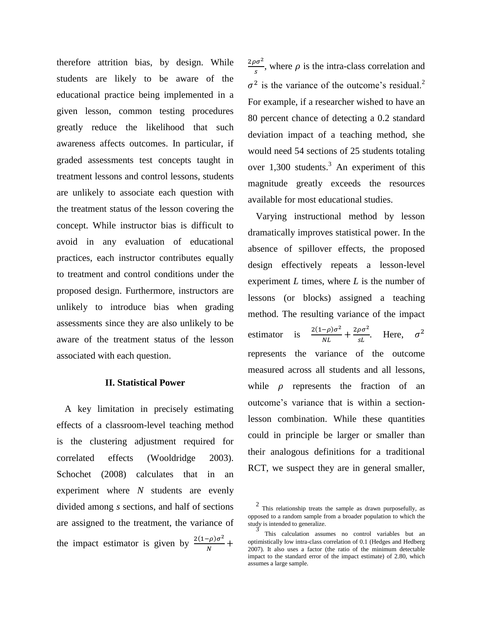therefore attrition bias, by design. While students are likely to be aware of the educational practice being implemented in a given lesson, common testing procedures greatly reduce the likelihood that such awareness affects outcomes. In particular, if graded assessments test concepts taught in treatment lessons and control lessons, students are unlikely to associate each question with the treatment status of the lesson covering the concept. While instructor bias is difficult to avoid in any evaluation of educational practices, each instructor contributes equally to treatment and control conditions under the proposed design. Furthermore, instructors are unlikely to introduce bias when grading assessments since they are also unlikely to be aware of the treatment status of the lesson associated with each question.

# **II. Statistical Power**

A key limitation in precisely estimating effects of a classroom-level teaching method is the clustering adjustment required for correlated effects (Wooldridge 2003). Schochet (2008) calculates that in an experiment where *N* students are evenly divided among *s* sections, and half of sections are assigned to the treatment, the variance of the impact estimator is given by  $\frac{2(1-\rho)\sigma^2}{v}$  $\frac{-p}{N}$  +

 $2\rho\sigma^2$  $\frac{\partial}{\partial s}$ , where  $\rho$  is the intra-class correlation and  $\sigma^2$  is the variance of the outcome's residual.<sup>2</sup> For example, if a researcher wished to have an 80 percent chance of detecting a 0.2 standard deviation impact of a teaching method, she would need 54 sections of 25 students totaling over 1,300 students.<sup>3</sup> An experiment of this magnitude greatly exceeds the resources available for most educational studies.

Varying instructional method by lesson dramatically improves statistical power. In the absence of spillover effects, the proposed design effectively repeats a lesson-level experiment *L* times, where *L* is the number of lessons (or blocks) assigned a teaching method. The resulting variance of the impact estimator is  $\frac{2(1-\rho)\sigma^2}{N}$  $\frac{(-\rho)\sigma^2}{NL} + \frac{2\rho\sigma^2}{sL}$  $\frac{\rho \sigma^2}{sL}$ . Here,  $\sigma^2$ represents the variance of the outcome measured across all students and all lessons, while  $\rho$  represents the fraction of an outcome's variance that is within a sectionlesson combination. While these quantities could in principle be larger or smaller than their analogous definitions for a traditional RCT, we suspect they are in general smaller,

 $2$  This relationship treats the sample as drawn purposefully, as opposed to a random sample from a broader population to which the study is intended to generalize.

<sup>3</sup> This calculation assumes no control variables but an optimistically low intra-class correlation of 0.1 (Hedges and Hedberg 2007). It also uses a factor (the ratio of the minimum detectable impact to the standard error of the impact estimate) of 2.80, which assumes a large sample.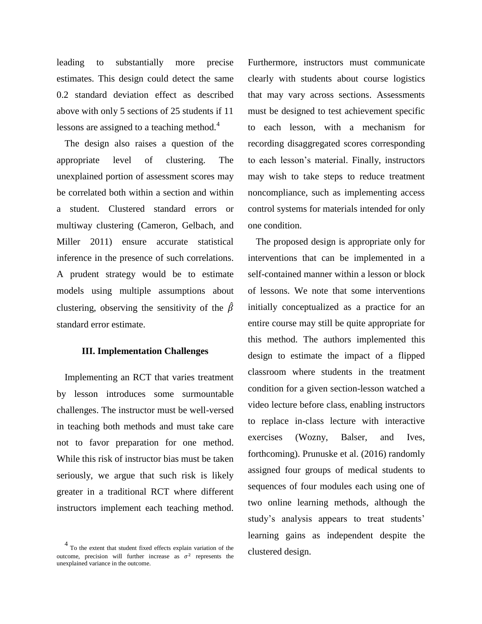leading to substantially more precise estimates. This design could detect the same 0.2 standard deviation effect as described above with only 5 sections of 25 students if 11 lessons are assigned to a teaching method.<sup>4</sup>

The design also raises a question of the appropriate level of clustering. The unexplained portion of assessment scores may be correlated both within a section and within a student. Clustered standard errors or multiway clustering (Cameron, Gelbach, and Miller 2011) ensure accurate statistical inference in the presence of such correlations. A prudent strategy would be to estimate models using multiple assumptions about clustering, observing the sensitivity of the  $\hat{\beta}$ standard error estimate.

## **III. Implementation Challenges**

Implementing an RCT that varies treatment by lesson introduces some surmountable challenges. The instructor must be well-versed in teaching both methods and must take care not to favor preparation for one method. While this risk of instructor bias must be taken seriously, we argue that such risk is likely greater in a traditional RCT where different instructors implement each teaching method.

Furthermore, instructors must communicate clearly with students about course logistics that may vary across sections. Assessments must be designed to test achievement specific to each lesson, with a mechanism for recording disaggregated scores corresponding to each lesson's material. Finally, instructors may wish to take steps to reduce treatment noncompliance, such as implementing access control systems for materials intended for only one condition.

The proposed design is appropriate only for interventions that can be implemented in a self-contained manner within a lesson or block of lessons. We note that some interventions initially conceptualized as a practice for an entire course may still be quite appropriate for this method. The authors implemented this design to estimate the impact of a flipped classroom where students in the treatment condition for a given section-lesson watched a video lecture before class, enabling instructors to replace in-class lecture with interactive exercises (Wozny, Balser, and Ives, forthcoming). Prunuske et al. (2016) randomly assigned four groups of medical students to sequences of four modules each using one of two online learning methods, although the study's analysis appears to treat students' learning gains as independent despite the clustered design.

<sup>4</sup> To the extent that student fixed effects explain variation of the outcome, precision will further increase as  $\sigma^2$  represents the unexplained variance in the outcome.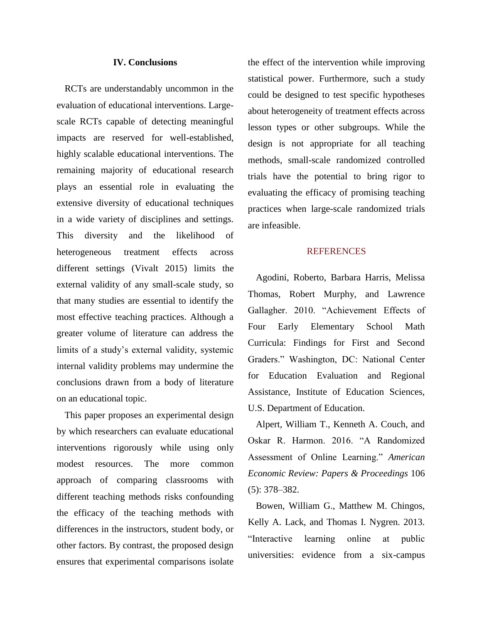# **IV. Conclusions**

RCTs are understandably uncommon in the evaluation of educational interventions. Largescale RCTs capable of detecting meaningful impacts are reserved for well-established, highly scalable educational interventions. The remaining majority of educational research plays an essential role in evaluating the extensive diversity of educational techniques in a wide variety of disciplines and settings. This diversity and the likelihood of heterogeneous treatment effects across different settings (Vivalt 2015) limits the external validity of any small-scale study, so that many studies are essential to identify the most effective teaching practices. Although a greater volume of literature can address the limits of a study's external validity, systemic internal validity problems may undermine the conclusions drawn from a body of literature on an educational topic.

This paper proposes an experimental design by which researchers can evaluate educational interventions rigorously while using only modest resources. The more common approach of comparing classrooms with different teaching methods risks confounding the efficacy of the teaching methods with differences in the instructors, student body, or other factors. By contrast, the proposed design ensures that experimental comparisons isolate

the effect of the intervention while improving statistical power. Furthermore, such a study could be designed to test specific hypotheses about heterogeneity of treatment effects across lesson types or other subgroups. While the design is not appropriate for all teaching methods, small-scale randomized controlled trials have the potential to bring rigor to evaluating the efficacy of promising teaching practices when large-scale randomized trials are infeasible.

### **REFERENCES**

Agodini, Roberto, Barbara Harris, Melissa Thomas, Robert Murphy, and Lawrence Gallagher. 2010. "Achievement Effects of Four Early Elementary School Math Curricula: Findings for First and Second Graders." Washington, DC: National Center for Education Evaluation and Regional Assistance, Institute of Education Sciences, U.S. Department of Education.

Alpert, William T., Kenneth A. Couch, and Oskar R. Harmon. 2016. "A Randomized Assessment of Online Learning." *American Economic Review: Papers & Proceedings* 106 (5): 378–382.

Bowen, William G., Matthew M. Chingos, Kelly A. Lack, and Thomas I. Nygren. 2013. "Interactive learning online at public universities: evidence from a six-campus